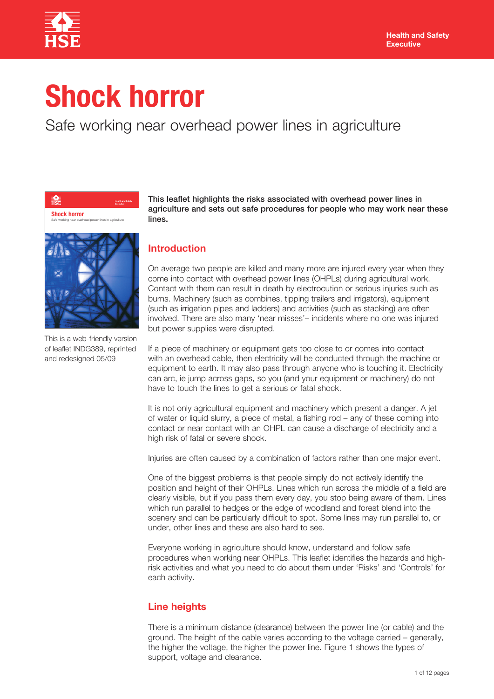

# **Shock horror**

## Safe working near overhead power lines in agriculture



This is a web-friendly version of leaflet INDG389, reprinted and redesigned 05/09

This leaflet highlights the risks associated with overhead power lines in agriculture and sets out safe procedures for people who may work near these lines.

## **Introduction**

On average two people are killed and many more are injured every year when they come into contact with overhead power lines (OHPLs) during agricultural work. Contact with them can result in death by electrocution or serious injuries such as burns. Machinery (such as combines, tipping trailers and irrigators), equipment (such as irrigation pipes and ladders) and activities (such as stacking) are often involved. There are also many 'near misses'– incidents where no one was injured but power supplies were disrupted.

If a piece of machinery or equipment gets too close to or comes into contact with an overhead cable, then electricity will be conducted through the machine or equipment to earth. It may also pass through anyone who is touching it. Electricity can arc, ie jump across gaps, so you (and your equipment or machinery) do not have to touch the lines to get a serious or fatal shock.

It is not only agricultural equipment and machinery which present a danger. A jet of water or liquid slurry, a piece of metal, a fishing rod – any of these coming into contact or near contact with an OHPL can cause a discharge of electricity and a high risk of fatal or severe shock.

Injuries are often caused by a combination of factors rather than one major event.

One of the biggest problems is that people simply do not actively identify the position and height of their OHPLs. Lines which run across the middle of a field are clearly visible, but if you pass them every day, you stop being aware of them. Lines which run parallel to hedges or the edge of woodland and forest blend into the scenery and can be particularly difficult to spot. Some lines may run parallel to, or under, other lines and these are also hard to see.

Everyone working in agriculture should know, understand and follow safe procedures when working near OHPLs. This leaflet identifies the hazards and highrisk activities and what you need to do about them under 'Risks' and 'Controls' for each activity.

## **Line heights**

There is a minimum distance (clearance) between the power line (or cable) and the ground. The height of the cable varies according to the voltage carried – generally, the higher the voltage, the higher the power line. Figure 1 shows the types of support, voltage and clearance.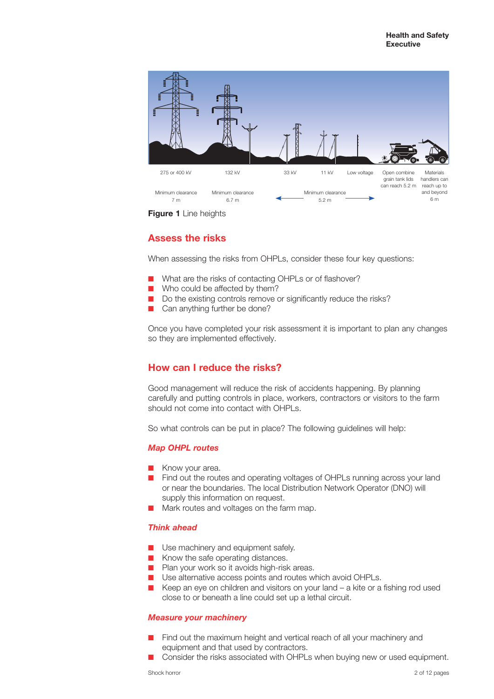

**Figure 1** Line heights

## **Assess the risks**

When assessing the risks from OHPLs, consider these four key questions:

- What are the risks of contacting OHPLs or of flashover?
- Who could be affected by them?
- Do the existing controls remove or significantly reduce the risks?
- Can anything further be done?

Once you have completed your risk assessment it is important to plan any changes so they are implemented effectively.

## **How can I reduce the risks?**

Good management will reduce the risk of accidents happening. By planning carefully and putting controls in place, workers, contractors or visitors to the farm should not come into contact with OHPLs.

So what controls can be put in place? The following guidelines will help:

## *Map OHPL routes*

- Know your area.
- Find out the routes and operating voltages of OHPLs running across your land or near the boundaries. The local Distribution Network Operator (DNO) will supply this information on request.
- Mark routes and voltages on the farm map.

## *Think ahead*

- Use machinery and equipment safely.
- Know the safe operating distances.
- Plan your work so it avoids high-risk areas.
- Use alternative access points and routes which avoid OHPLs.
- Keep an eye on children and visitors on your land a kite or a fishing rod used close to or beneath a line could set up a lethal circuit.

## *Measure your machinery*

- Find out the maximum height and vertical reach of all your machinery and equipment and that used by contractors.
- Consider the risks associated with OHPLs when buying new or used equipment.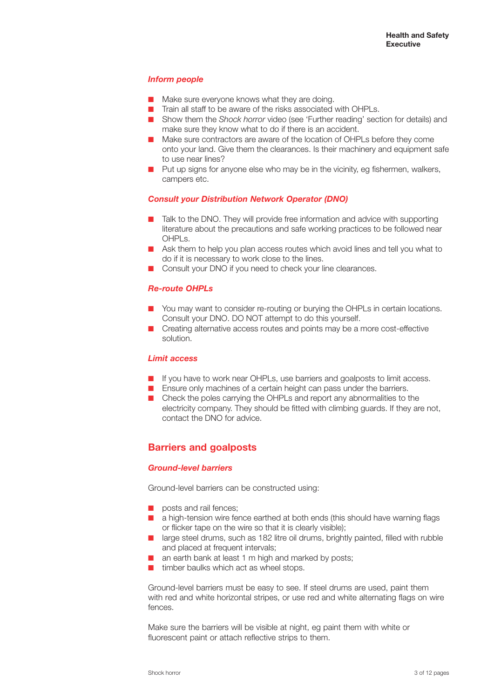## *Inform people*

- Make sure everyone knows what they are doing.
- Train all staff to be aware of the risks associated with OHPLs.
- Show them the *Shock horror* video (see 'Further reading' section for details) and make sure they know what to do if there is an accident.
- Make sure contractors are aware of the location of OHPLs before they come onto your land. Give them the clearances. Is their machinery and equipment safe to use near lines?
- Put up signs for anyone else who may be in the vicinity, eg fishermen, walkers, campers etc.

## *Consult your Distribution Network Operator (DNO)*

- Talk to the DNO. They will provide free information and advice with supporting literature about the precautions and safe working practices to be followed near OHPLs.
- Ask them to help you plan access routes which avoid lines and tell you what to do if it is necessary to work close to the lines.
- Consult your DNO if you need to check your line clearances.

## *Re-route OHPLs*

- You may want to consider re-routing or burying the OHPLs in certain locations. Consult your DNO. DO NOT attempt to do this yourself.
- Creating alternative access routes and points may be a more cost-effective solution.

#### *Limit access*

- If you have to work near OHPLs, use barriers and goalposts to limit access.
- Ensure only machines of a certain height can pass under the barriers.
- Check the poles carrying the OHPLs and report any abnormalities to the electricity company. They should be fitted with climbing guards. If they are not, contact the DNO for advice.

## **Barriers and goalposts**

## *Ground-level barriers*

Ground-level barriers can be constructed using:

- posts and rail fences:
- a high-tension wire fence earthed at both ends (this should have warning flags or flicker tape on the wire so that it is clearly visible);
- large steel drums, such as 182 litre oil drums, brightly painted, filled with rubble and placed at frequent intervals;
- an earth bank at least 1 m high and marked by posts;
- timber baulks which act as wheel stops.

Ground-level barriers must be easy to see. If steel drums are used, paint them with red and white horizontal stripes, or use red and white alternating flags on wire fences.

Make sure the barriers will be visible at night, eg paint them with white or fluorescent paint or attach reflective strips to them.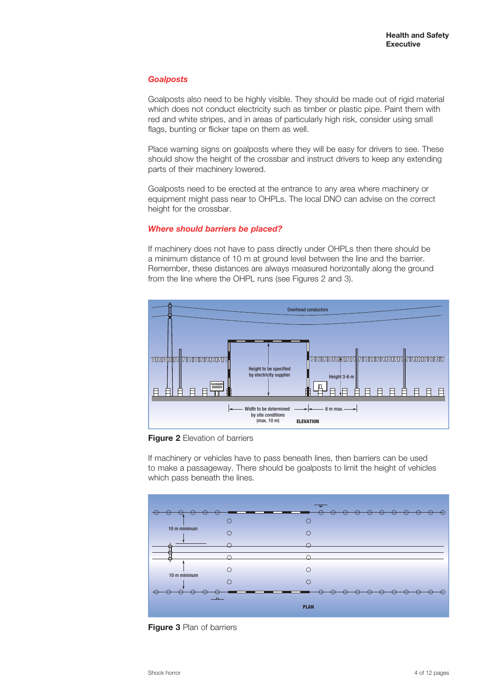## *Goalposts*

Goalposts also need to be highly visible. They should be made out of rigid material which does not conduct electricity such as timber or plastic pipe. Paint them with red and white stripes, and in areas of particularly high risk, consider using small flags, bunting or flicker tape on them as well.

Place warning signs on goalposts where they will be easy for drivers to see. These should show the height of the crossbar and instruct drivers to keep any extending parts of their machinery lowered.

Goalposts need to be erected at the entrance to any area where machinery or equipment might pass near to OHPLs. The local DNO can advise on the correct height for the crossbar.

## *Where should barriers be placed?*

If machinery does not have to pass directly under OHPLs then there should be a minimum distance of 10 m at ground level between the line and the barrier. Remember, these distances are always measured horizontally along the ground from the line where the OHPL runs (see Figures 2 and 3).



**Figure 2** Elevation of barriers

If machinery or vehicles have to pass beneath lines, then barriers can be used to make a passageway. There should be goalposts to limit the height of vehicles which pass beneath the lines.  $\mathbf{b}$  site conditions of  $\mathbf{c}$ 



**Figure 3** Plan of barriers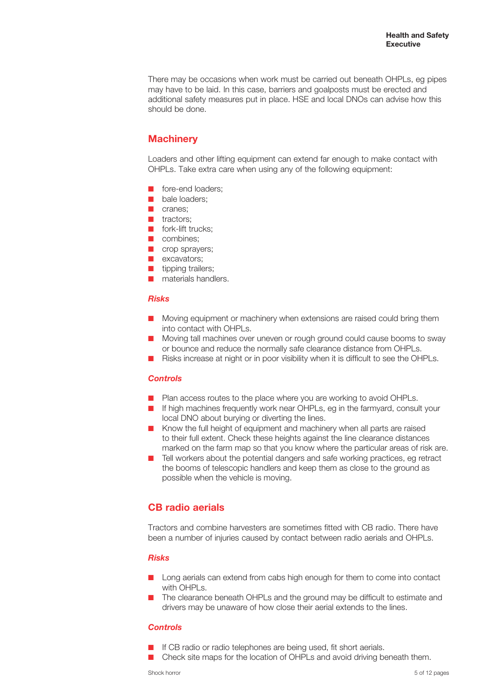There may be occasions when work must be carried out beneath OHPLs, eg pipes may have to be laid. In this case, barriers and goalposts must be erected and additional safety measures put in place. HSE and local DNOs can advise how this should be done.

## **Machinery**

Loaders and other lifting equipment can extend far enough to make contact with OHPLs. Take extra care when using any of the following equipment:

- fore-end loaders:
- bale loaders;
- cranes;
- tractors:
- fork-lift trucks:
- combines:
- crop sprayers;
- **D** excavators:
- tipping trailers:
- materials handlers.

## *Risks*

- Moving equipment or machinery when extensions are raised could bring them into contact with OHPLs.
- Moving tall machines over uneven or rough ground could cause booms to sway or bounce and reduce the normally safe clearance distance from OHPLs.
- Risks increase at night or in poor visibility when it is difficult to see the OHPLs.

## *Controls*

- Plan access routes to the place where you are working to avoid OHPLs.
- If high machines frequently work near OHPLs, eg in the farmyard, consult your local DNO about burying or diverting the lines.
- Know the full height of equipment and machinery when all parts are raised to their full extent. Check these heights against the line clearance distances marked on the farm map so that you know where the particular areas of risk are.
- Tell workers about the potential dangers and safe working practices, eg retract the booms of telescopic handlers and keep them as close to the ground as possible when the vehicle is moving.

## **CB radio aerials**

Tractors and combine harvesters are sometimes fitted with CB radio. There have been a number of injuries caused by contact between radio aerials and OHPLs.

## *Risks*

- Long aerials can extend from cabs high enough for them to come into contact with OHPLs.
- The clearance beneath OHPLs and the ground may be difficult to estimate and drivers may be unaware of how close their aerial extends to the lines.

## *Controls*

- If CB radio or radio telephones are being used, fit short aerials.
- Check site maps for the location of OHPLs and avoid driving beneath them.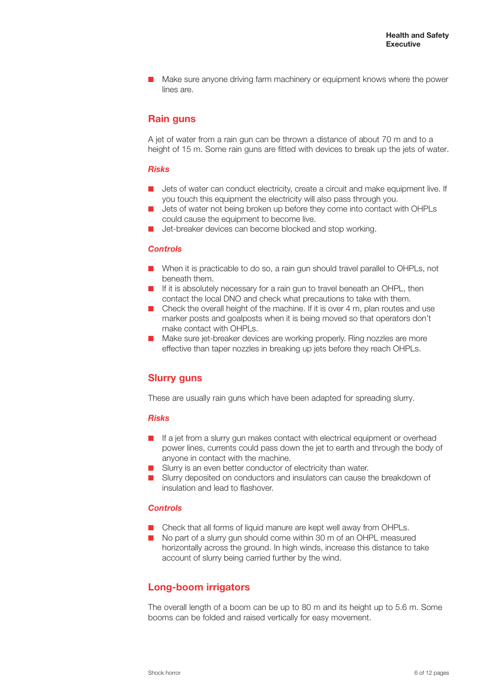Make sure anyone driving farm machinery or equipment knows where the power lines are.

## **Rain guns**

A jet of water from a rain gun can be thrown a distance of about 70 m and to a height of 15 m. Some rain guns are fitted with devices to break up the jets of water.

## *Risks*

- Jets of water can conduct electricity, create a circuit and make equipment live. If you touch this equipment the electricity will also pass through you.
- Jets of water not being broken up before they come into contact with OHPLs could cause the equipment to become live.
- Jet-breaker devices can become blocked and stop working.

#### *Controls*

- When it is practicable to do so, a rain gun should travel parallel to OHPLs, not beneath them.
- If it is absolutely necessary for a rain gun to travel beneath an OHPL, then contact the local DNO and check what precautions to take with them.
- Check the overall height of the machine. If it is over 4 m, plan routes and use marker posts and goalposts when it is being moved so that operators don't make contact with OHPLs.
- Make sure jet-breaker devices are working properly. Ring nozzles are more effective than taper nozzles in breaking up jets before they reach OHPLs.

## **Slurry guns**

These are usually rain guns which have been adapted for spreading slurry.

## *Risks*

- If a jet from a slurry gun makes contact with electrical equipment or overhead power lines, currents could pass down the jet to earth and through the body of anyone in contact with the machine.
- Slurry is an even better conductor of electricity than water.
- Slurry deposited on conductors and insulators can cause the breakdown of insulation and lead to flashover.

## *Controls*

- Check that all forms of liquid manure are kept well away from OHPLs.
- No part of a slurry gun should come within 30 m of an OHPL measured horizontally across the ground. In high winds, increase this distance to take account of slurry being carried further by the wind.

## **Long-boom irrigators**

The overall length of a boom can be up to 80 m and its height up to 5.6 m. Some booms can be folded and raised vertically for easy movement.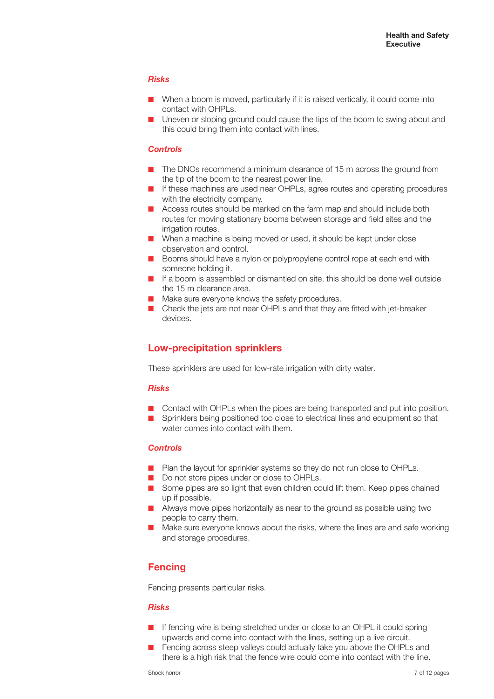## *Risks*

- When a boom is moved, particularly if it is raised vertically, it could come into contact with OHPL<sub>S</sub>.
- Uneven or sloping ground could cause the tips of the boom to swing about and this could bring them into contact with lines.

## *Controls*

- The DNOs recommend a minimum clearance of 15 m across the ground from the tip of the boom to the nearest power line.
- If these machines are used near OHPLs, agree routes and operating procedures with the electricity company.
- Access routes should be marked on the farm map and should include both routes for moving stationary booms between storage and field sites and the irrigation routes.
- When a machine is being moved or used, it should be kept under close observation and control.
- Booms should have a nylon or polypropylene control rope at each end with someone holding it.
- If a boom is assembled or dismantled on site, this should be done well outside the 15 m clearance area.
- Make sure everyone knows the safety procedures.
- Check the jets are not near OHPLs and that they are fitted with jet-breaker devices.

## **Low-precipitation sprinklers**

These sprinklers are used for low-rate irrigation with dirty water.

## *Risks*

- Contact with OHPLs when the pipes are being transported and put into position.
- Sprinklers being positioned too close to electrical lines and equipment so that water comes into contact with them.

## *Controls*

- Plan the layout for sprinkler systems so they do not run close to OHPLs.
- Do not store pipes under or close to OHPLs.
- Some pipes are so light that even children could lift them. Keep pipes chained up if possible.
- Always move pipes horizontally as near to the ground as possible using two people to carry them.
- Make sure everyone knows about the risks, where the lines are and safe working and storage procedures.

## **Fencing**

Fencing presents particular risks.

## *Risks*

- If fencing wire is being stretched under or close to an OHPL it could spring upwards and come into contact with the lines, setting up a live circuit.
- Fencing across steep valleys could actually take you above the OHPLs and there is a high risk that the fence wire could come into contact with the line.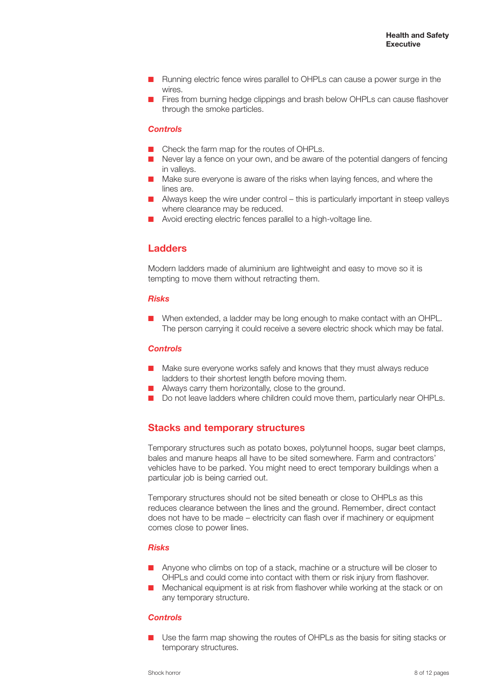- Running electric fence wires parallel to OHPLs can cause a power surge in the wires.
- Fires from burning hedge clippings and brash below OHPLs can cause flashover through the smoke particles.

## *Controls*

- Check the farm map for the routes of OHPLs.
- Never lay a fence on your own, and be aware of the potential dangers of fencing in valleys.
- Make sure everyone is aware of the risks when laying fences, and where the lines are.
- Always keep the wire under control this is particularly important in steep valleys where clearance may be reduced.
- Avoid erecting electric fences parallel to a high-voltage line.

## **Ladders**

Modern ladders made of aluminium are lightweight and easy to move so it is tempting to move them without retracting them.

#### *Risks*

When extended, a ladder may be long enough to make contact with an OHPL. The person carrying it could receive a severe electric shock which may be fatal.

## *Controls*

- Make sure everyone works safely and knows that they must always reduce ladders to their shortest length before moving them.
- Always carry them horizontally, close to the ground.
- Do not leave ladders where children could move them, particularly near OHPLs.

## **Stacks and temporary structures**

Temporary structures such as potato boxes, polytunnel hoops, sugar beet clamps, bales and manure heaps all have to be sited somewhere. Farm and contractors' vehicles have to be parked. You might need to erect temporary buildings when a particular job is being carried out.

Temporary structures should not be sited beneath or close to OHPLs as this reduces clearance between the lines and the ground. Remember, direct contact does not have to be made – electricity can flash over if machinery or equipment comes close to power lines.

#### *Risks*

- Anyone who climbs on top of a stack, machine or a structure will be closer to OHPLs and could come into contact with them or risk injury from flashover.
- Mechanical equipment is at risk from flashover while working at the stack or on any temporary structure.

#### *Controls*

Use the farm map showing the routes of OHPLs as the basis for siting stacks or temporary structures.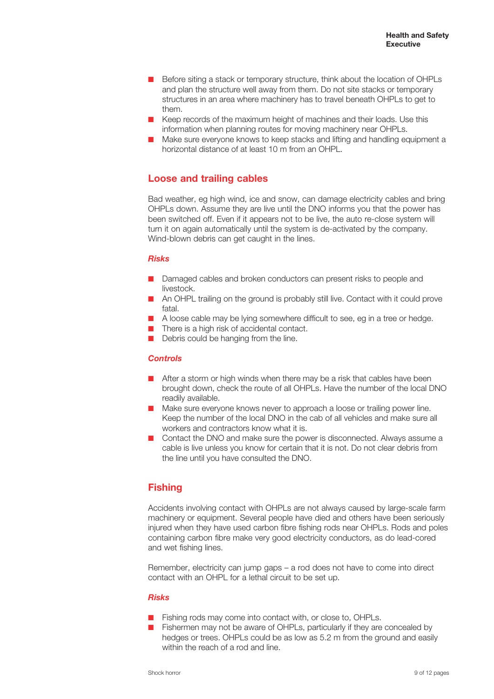- Before siting a stack or temporary structure, think about the location of OHPLs and plan the structure well away from them. Do not site stacks or temporary structures in an area where machinery has to travel beneath OHPLs to get to them.
- Keep records of the maximum height of machines and their loads. Use this information when planning routes for moving machinery near OHPLs.
- Make sure everyone knows to keep stacks and lifting and handling equipment a horizontal distance of at least 10 m from an OHPL.

## **Loose and trailing cables**

Bad weather, eg high wind, ice and snow, can damage electricity cables and bring OHPLs down. Assume they are live until the DNO informs you that the power has been switched off. Even if it appears not to be live, the auto re-close system will turn it on again automatically until the system is de-activated by the company. Wind-blown debris can get caught in the lines.

## *Risks*

- Damaged cables and broken conductors can present risks to people and livestock.
- An OHPL trailing on the ground is probably still live. Contact with it could prove fatal.
- A loose cable may be lying somewhere difficult to see, eg in a tree or hedge.
- There is a high risk of accidental contact.
- Debris could be hanging from the line.

## *Controls*

- After a storm or high winds when there may be a risk that cables have been brought down, check the route of all OHPLs. Have the number of the local DNO readily available.
- Make sure everyone knows never to approach a loose or trailing power line. Keep the number of the local DNO in the cab of all vehicles and make sure all workers and contractors know what it is.
- Contact the DNO and make sure the power is disconnected. Always assume a cable is live unless you know for certain that it is not. Do not clear debris from the line until you have consulted the DNO.

## **Fishing**

Accidents involving contact with OHPLs are not always caused by large-scale farm machinery or equipment. Several people have died and others have been seriously injured when they have used carbon fibre fishing rods near OHPLs. Rods and poles containing carbon fibre make very good electricity conductors, as do lead-cored and wet fishing lines.

Remember, electricity can jump gaps – a rod does not have to come into direct contact with an OHPL for a lethal circuit to be set up.

## *Risks*

- Fishing rods may come into contact with, or close to, OHPLs.
- Fishermen may not be aware of OHPLs, particularly if they are concealed by hedges or trees. OHPLs could be as low as 5.2 m from the ground and easily within the reach of a rod and line.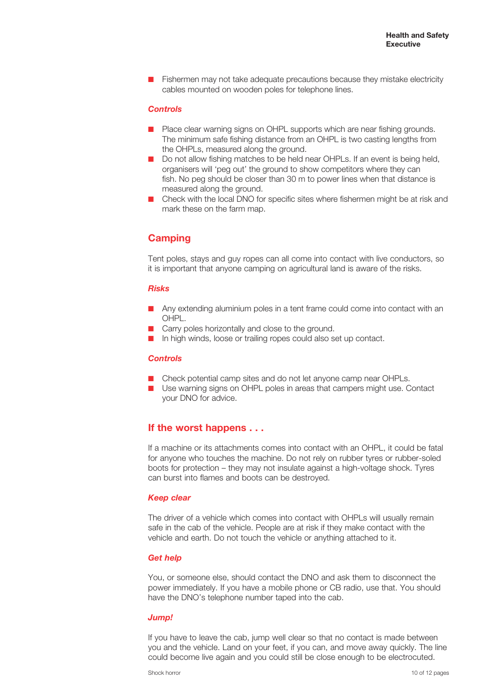■ Fishermen may not take adequate precautions because they mistake electricity cables mounted on wooden poles for telephone lines.

## *Controls*

- Place clear warning signs on OHPL supports which are near fishing grounds. The minimum safe fishing distance from an OHPL is two casting lengths from the OHPLs, measured along the ground.
- Do not allow fishing matches to be held near OHPLs. If an event is being held, organisers will 'peg out' the ground to show competitors where they can fish. No peg should be closer than 30 m to power lines when that distance is measured along the ground.
- Check with the local DNO for specific sites where fishermen might be at risk and mark these on the farm map.

## **Camping**

Tent poles, stays and guy ropes can all come into contact with live conductors, so it is important that anyone camping on agricultural land is aware of the risks.

## *Risks*

- Any extending aluminium poles in a tent frame could come into contact with an OHPL.
- Carry poles horizontally and close to the ground.
- In high winds, loose or trailing ropes could also set up contact.

#### *Controls*

- Check potential camp sites and do not let anyone camp near OHPLs.
- Use warning signs on OHPL poles in areas that campers might use. Contact your DNO for advice.

## **If the worst happens . . .**

If a machine or its attachments comes into contact with an OHPL, it could be fatal for anyone who touches the machine. Do not rely on rubber tyres or rubber-soled boots for protection – they may not insulate against a high-voltage shock. Tyres can burst into flames and boots can be destroyed.

#### *Keep clear*

The driver of a vehicle which comes into contact with OHPLs will usually remain safe in the cab of the vehicle. People are at risk if they make contact with the vehicle and earth. Do not touch the vehicle or anything attached to it.

## *Get help*

You, or someone else, should contact the DNO and ask them to disconnect the power immediately. If you have a mobile phone or CB radio, use that. You should have the DNO's telephone number taped into the cab.

## *Jump!*

If you have to leave the cab, jump well clear so that no contact is made between you and the vehicle. Land on your feet, if you can, and move away quickly. The line could become live again and you could still be close enough to be electrocuted.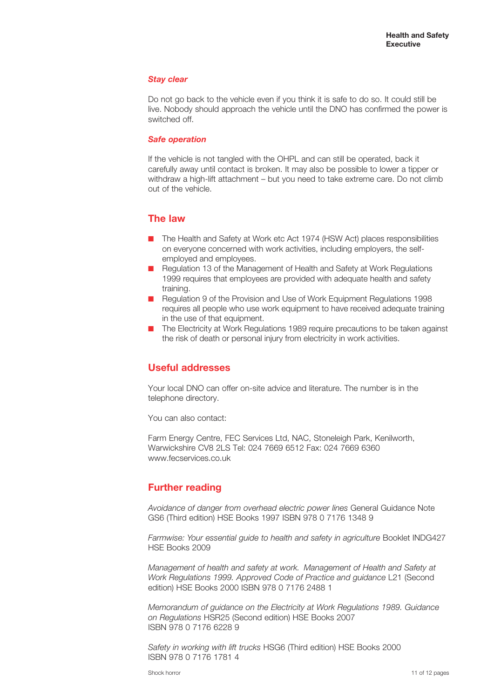#### *Stay clear*

Do not go back to the vehicle even if you think it is safe to do so. It could still be live. Nobody should approach the vehicle until the DNO has confirmed the power is switched off.

#### *Safe operation*

If the vehicle is not tangled with the OHPL and can still be operated, back it carefully away until contact is broken. It may also be possible to lower a tipper or withdraw a high-lift attachment – but you need to take extreme care. Do not climb out of the vehicle.

## **The law**

- The Health and Safety at Work etc Act 1974 (HSW Act) places responsibilities on everyone concerned with work activities, including employers, the selfemployed and employees.
- Regulation 13 of the Management of Health and Safety at Work Regulations 1999 requires that employees are provided with adequate health and safety training.
- Regulation 9 of the Provision and Use of Work Equipment Regulations 1998 requires all people who use work equipment to have received adequate training in the use of that equipment.
- The Electricity at Work Regulations 1989 require precautions to be taken against the risk of death or personal injury from electricity in work activities.

## **Useful addresses**

Your local DNO can offer on-site advice and literature. The number is in the telephone directory.

You can also contact:

Farm Energy Centre, FEC Services Ltd, NAC, Stoneleigh Park, Kenilworth, Warwickshire CV8 2LS Tel: 024 7669 6512 Fax: 024 7669 6360 www.fecservices.co.uk

## **Further reading**

*Avoidance of danger from overhead electric power lines* General Guidance Note GS6 (Third edition) HSE Books 1997 ISBN 978 0 7176 1348 9

*Farmwise: Your essential guide to health and safety in agriculture* Booklet INDG427 HSE Books 2009

*Management of health and safety at work. Management of Health and Safety at Work Regulations 1999. Approved Code of Practice and guidance* L21 (Second edition) HSE Books 2000 ISBN 978 0 7176 2488 1

*Memorandum of guidance on the Electricity at Work Regulations 1989. Guidance on Regulations* HSR25 (Second edition) HSE Books 2007 ISBN 978 0 7176 6228 9

*Safety in working with lift trucks* HSG6 (Third edition) HSE Books 2000 ISBN 978 0 7176 1781 4